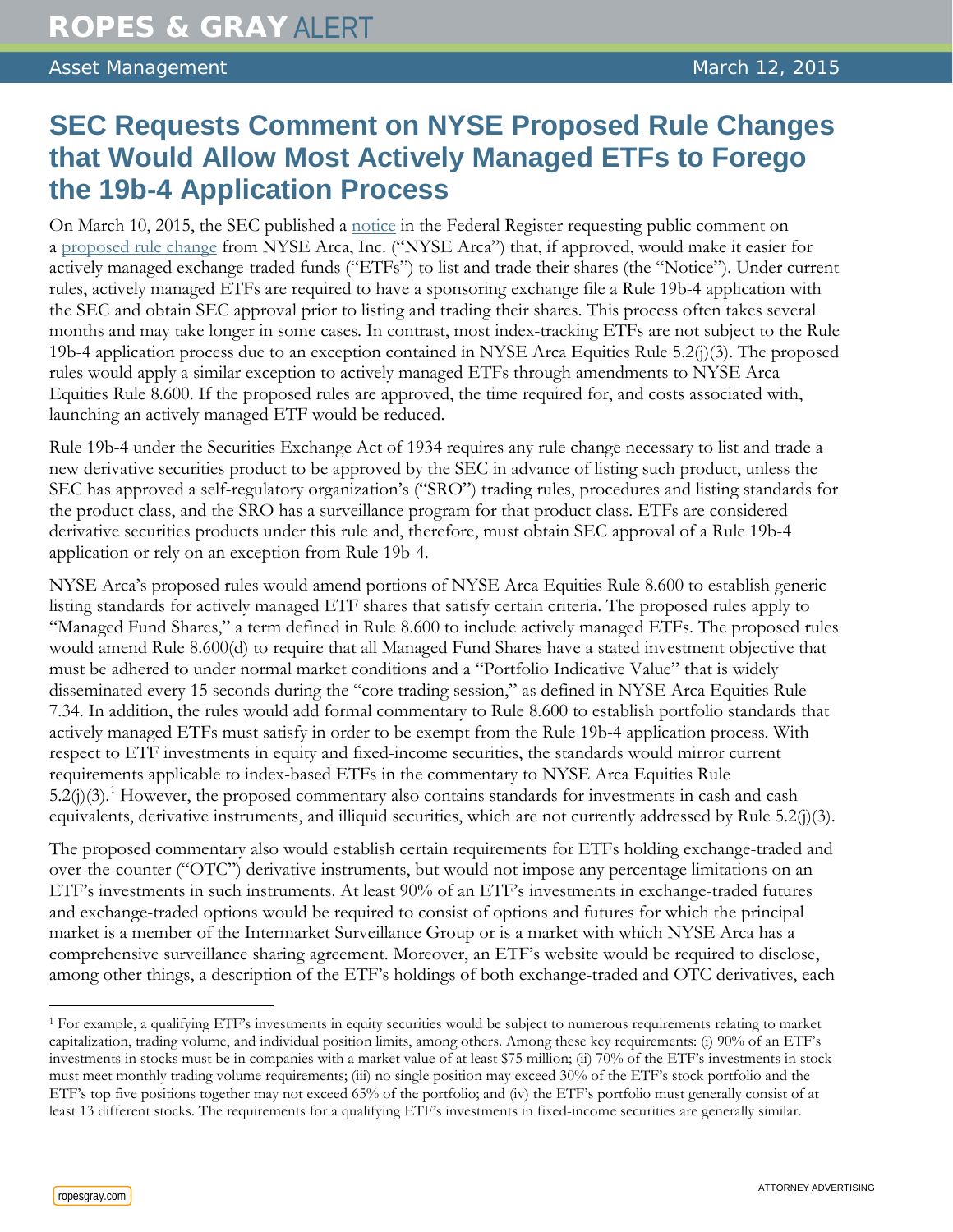## **SEC Requests Comment on NYSE Proposed Rule Changes that Would Allow Most Actively Managed ETFs to Forego the 19b-4 Application Process**

On March 10, 2015, the SEC published a [notice](http://www.gpo.gov/fdsys/pkg/FR-2015-03-10/pdf/2015-05480.pdf) in the Federal Register requesting public comment on a [proposed rule change](https://www.nyse.com/publicdocs/nyse/markets/nyse-arca/rule-filings/filings/2015/NYSEArca-2015-02,%20Refile.pdf) from NYSE Arca, Inc. ("NYSE Arca") that, if approved, would make it easier for actively managed exchange-traded funds ("ETFs") to list and trade their shares (the "Notice"). Under current rules, actively managed ETFs are required to have a sponsoring exchange file a Rule 19b-4 application with the SEC and obtain SEC approval prior to listing and trading their shares. This process often takes several months and may take longer in some cases. In contrast, most index-tracking ETFs are not subject to the Rule 19b-4 application process due to an exception contained in NYSE Arca Equities Rule 5.2(j)(3). The proposed rules would apply a similar exception to actively managed ETFs through amendments to NYSE Arca Equities Rule 8.600. If the proposed rules are approved, the time required for, and costs associated with, launching an actively managed ETF would be reduced.

Rule 19b-4 under the Securities Exchange Act of 1934 requires any rule change necessary to list and trade a new derivative securities product to be approved by the SEC in advance of listing such product, unless the SEC has approved a self-regulatory organization's ("SRO") trading rules, procedures and listing standards for the product class, and the SRO has a surveillance program for that product class. ETFs are considered derivative securities products under this rule and, therefore, must obtain SEC approval of a Rule 19b-4 application or rely on an exception from Rule 19b-4.

NYSE Arca's proposed rules would amend portions of NYSE Arca Equities Rule 8.600 to establish generic listing standards for actively managed ETF shares that satisfy certain criteria. The proposed rules apply to "Managed Fund Shares," a term defined in Rule 8.600 to include actively managed ETFs. The proposed rules would amend Rule 8.600(d) to require that all Managed Fund Shares have a stated investment objective that must be adhered to under normal market conditions and a "Portfolio Indicative Value" that is widely disseminated every 15 seconds during the "core trading session," as defined in NYSE Arca Equities Rule 7.34. In addition, the rules would add formal commentary to Rule 8.600 to establish portfolio standards that actively managed ETFs must satisfy in order to be exempt from the Rule 19b-4 application process. With respect to ETF investments in equity and fixed-income securities, the standards would mirror current requirements applicable to index-based ETFs in the commentary to NYSE Arca Equities Rule  $5.2(j)(3)$ .<sup>[1](#page-0-0)</sup> However, the proposed commentary also contains standards for investments in cash and cash equivalents, derivative instruments, and illiquid securities, which are not currently addressed by Rule 5.2(j)(3).

The proposed commentary also would establish certain requirements for ETFs holding exchange-traded and over-the-counter ("OTC") derivative instruments, but would not impose any percentage limitations on an ETF's investments in such instruments. At least 90% of an ETF's investments in exchange-traded futures and exchange-traded options would be required to consist of options and futures for which the principal market is a member of the Intermarket Surveillance Group or is a market with which NYSE Arca has a comprehensive surveillance sharing agreement. Moreover, an ETF's website would be required to disclose, among other things, a description of the ETF's holdings of both exchange-traded and OTC derivatives, each

 $\overline{a}$ 

<span id="page-0-0"></span><sup>1</sup> For example, a qualifying ETF's investments in equity securities would be subject to numerous requirements relating to market capitalization, trading volume, and individual position limits, among others. Among these key requirements: (i) 90% of an ETF's investments in stocks must be in companies with a market value of at least \$75 million; (ii) 70% of the ETF's investments in stock must meet monthly trading volume requirements; (iii) no single position may exceed 30% of the ETF's stock portfolio and the ETF's top five positions together may not exceed 65% of the portfolio; and (iv) the ETF's portfolio must generally consist of at least 13 different stocks. The requirements for a qualifying ETF's investments in fixed-income securities are generally similar.